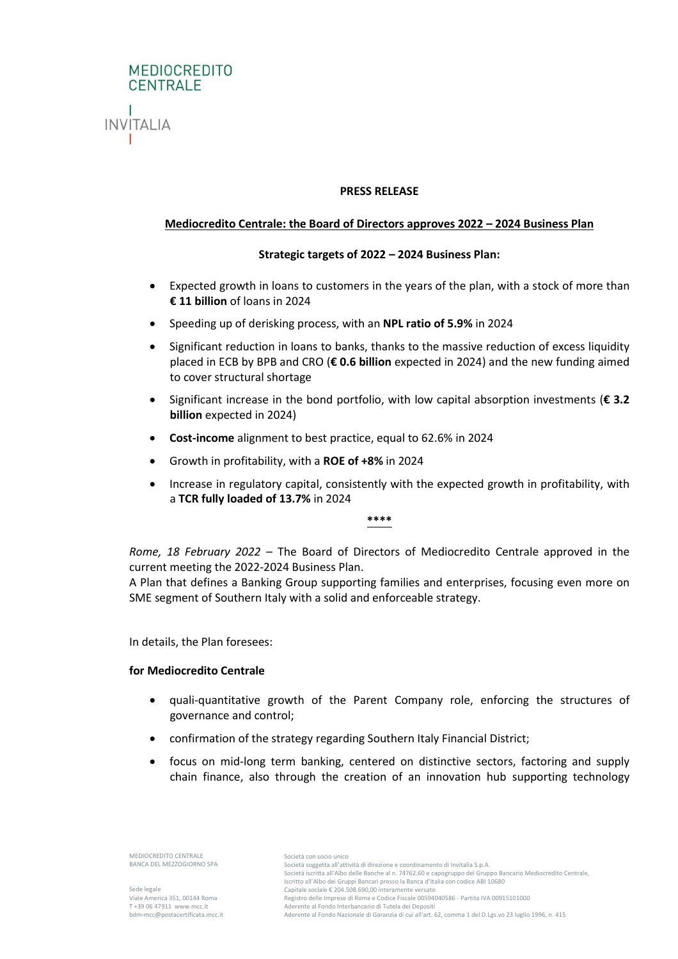

### **PRESS RELEASE**

# **Mediocredito Centrale: the Board of Directors approves 2022 – 2024 Business Plan**

## **Strategic targets of 2022 – 2024 Business Plan:**

- Expected growth in loans to customers in the years of the plan, with a stock of more than **€ 11 billion** of loans in 2024
- Speeding up of derisking process, with an **NPL ratio of 5.9%** in 2024
- Significant reduction in loans to banks, thanks to the massive reduction of excess liquidity placed in ECB by BPB and CRO (**€ 0.6 billion** expected in 2024) and the new funding aimed to cover structural shortage
- Significant increase in the bond portfolio, with low capital absorption investments (**€ 3.2 billion** expected in 2024)
- **Cost-income** alignment to best practice, equal to 62.6% in 2024
- Growth in profitability, with a **ROE of +8%** in 2024
- Increase in regulatory capital, consistently with the expected growth in profitability, with a **TCR fully loaded of 13.7%** in 2024

#### **\*\*\*\***

*Rome, 18 February 2022 –* The Board of Directors of Mediocredito Centrale approved in the current meeting the 2022-2024 Business Plan.

A Plan that defines a Banking Group supporting families and enterprises, focusing even more on SME segment of Southern Italy with a solid and enforceable strategy.

In details, the Plan foresees:

### **for Mediocredito Centrale**

- quali-quantitative growth of the Parent Company role, enforcing the structures of governance and control;
- confirmation of the strategy regarding Southern Italy Financial District;
- focus on mid-long term banking, centered on distinctive sectors, factoring and supply chain finance, also through the creation of an innovation hub supporting technology

MEDIOCREDITO CENTRALE BANCA DEL MEZZOGIORNO SPA

Sede legale Viale America 351, 00144 Roma T +39 06 47911 www.mcc.it bdm-mcc@postacertificata.mcc.it